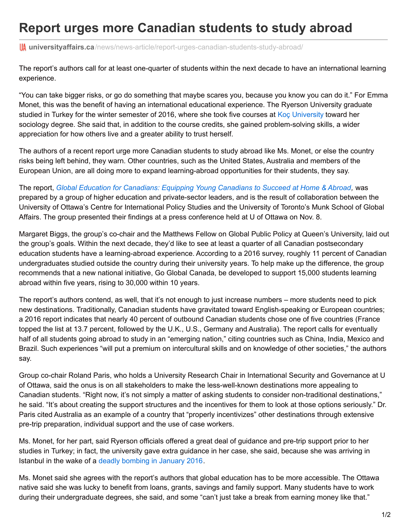## **Report urges more Canadian students to study abroad**

**In universityaffairs.ca**[/news/news-article/report-urges-canadian-students-study-abroad/](https://www.universityaffairs.ca/news/news-article/report-urges-canadian-students-study-abroad/?utm_source=University+Affairs+e-newsletter&utm_campaign=f825eca58b-EMAIL_CAMPAIGN_2017_11_22&utm_medium=email&utm_term=0_314bc2ee29-f825eca58b-426926477)

The report's authors call for at least one-quarter of students within the next decade to have an international learning experience.

"You can take bigger risks, or go do something that maybe scares you, because you know you can do it." For Emma Monet, this was the benefit of having an international educational experience. The Ryerson University graduate studied in Turkey for the winter semester of 2016, where she took five courses at Koc [University](https://www.ku.edu.tr/en) toward her sociology degree. She said that, in addition to the course credits, she gained problem-solving skills, a wider appreciation for how others live and a greater ability to trust herself.

The authors of a recent report urge more Canadian students to study abroad like Ms. Monet, or else the country risks being left behind, they warn. Other countries, such as the United States, Australia and members of the European Union, are all doing more to expand learning-abroad opportunities for their students, they say.

The report, *Global Education for [Canadians:](http://goglobalcanada.ca/) Equipping Young Canadians to Succeed at Home & Abroad,* was prepared by a group of higher education and private-sector leaders, and is the result of collaboration between the University of Ottawa's Centre for International Policy Studies and the University of Toronto's Munk School of Global Affairs. The group presented their findings at a press conference held at U of Ottawa on Nov. 8.

Margaret Biggs, the group's co-chair and the Matthews Fellow on Global Public Policy at Queen's University, laid out the group's goals. Within the next decade, they'd like to see at least a quarter of all Canadian postsecondary education students have a learning-abroad experience. According to a 2016 survey, roughly 11 percent of Canadian undergraduates studied outside the country during their university years. To help make up the difference, the group recommends that a new national initiative, Go Global Canada, be developed to support 15,000 students learning abroad within five years, rising to 30,000 within 10 years.

The report's authors contend, as well, that it's not enough to just increase numbers – more students need to pick new destinations. Traditionally, Canadian students have gravitated toward English-speaking or European countries; a 2016 report indicates that nearly 40 percent of outbound Canadian students chose one of five countries (France topped the list at 13.7 percent, followed by the U.K., U.S., Germany and Australia). The report calls for eventually half of all students going abroad to study in an "emerging nation," citing countries such as China, India, Mexico and Brazil. Such experiences "will put a premium on intercultural skills and on knowledge of other societies," the authors say.

Group co-chair Roland Paris, who holds a University Research Chair in International Security and Governance at U of Ottawa, said the onus is on all stakeholders to make the less-well-known destinations more appealing to Canadian students. "Right now, it's not simply a matter of asking students to consider non-traditional destinations," he said. "It's about creating the support structures and the incentives for them to look at those options seriously." Dr. Paris cited Australia as an example of a country that "properly incentivizes" other destinations through extensive pre-trip preparation, individual support and the use of case workers.

Ms. Monet, for her part, said Ryerson officials offered a great deal of guidance and pre-trip support prior to her studies in Turkey; in fact, the university gave extra guidance in her case, she said, because she was arriving in Istanbul in the wake of a deadly [bombing](https://www.theguardian.com/world/2016/jan/12/explosion-istanbul-square-sultanahmet-turkey) in January 2016.

Ms. Monet said she agrees with the report's authors that global education has to be more accessible. The Ottawa native said she was lucky to benefit from loans, grants, savings and family support. Many students have to work during their undergraduate degrees, she said, and some "can't just take a break from earning money like that."